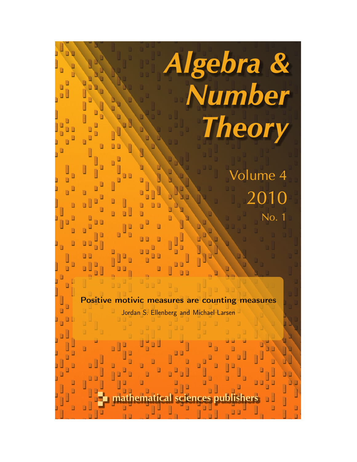Positive motivic measures are counting measures Jordan S. Ellenberg and Michael Larsen

Algebra &

Number

**Theory** 

Volume 4

2010

No. 1

ematical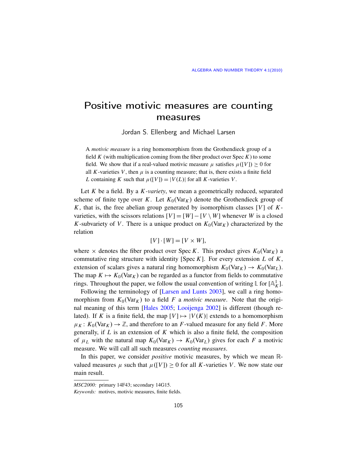## Positive motivic measures are counting measures

Jordan S. Ellenberg and Michael Larsen

A *motivic measure* is a ring homomorphism from the Grothendieck group of a field *K* (with multiplication coming from the fiber product over Spec *K*) to some field. We show that if a real-valued motivic measure  $\mu$  satisfies  $\mu([V]) > 0$  for all  $K$ -varieties  $V$ , then  $\mu$  is a counting measure; that is, there exists a finite field *L* containing *K* such that  $\mu([V]) = |V(L)|$  for all *K*-varieties *V*.

Let *K* be a field. By a *K -variety*, we mean a geometrically reduced, separated scheme of finite type over *K*. Let  $K_0(\text{Var}_K)$  denote the Grothendieck group of *K*, that is, the free abelian group generated by isomorphism classes [*V*] of *K*varieties, with the scissors relations  $[V] = [W] - [V \setminus W]$  whenever *W* is a closed *K*-subvariety of *V*. There is a unique product on  $K_0(\text{Var}_K)$  characterized by the relation

$$
[V] \cdot [W] = [V \times W],
$$

where  $\times$  de[notes the fiber product o](#page-5-0)ver Spec *K*. This product gives  $K_0(\text{Var}_K)$  a commutative ring structure with identity [Spec *K*]. For every extension *L* of *K*, exte[nsion of scala](#page-5-1)[rs gives a natural](#page-5-2) ring homomorphism  $K_0(\text{Var}_K) \to K_0(\text{Var}_L)$ . The map  $K \mapsto K_0(\text{Var}_K)$  can be regarded as a functor from fields to commutative rings. Throughout the paper, we follow the usual convention of writing  $\mathbb{L}$  for  $[\mathbb{A}_{K}^{1}]$ .

Following the terminology of [Larsen and Lunts 2003], we call a ring homomorphism from  $K_0(\text{Var}_K)$  to a field *F* a *motivic measure*. Note that the original meaning of this term [Hales 2005; Looijenga 2002] is different (though related). If *K* is a finite field, the map  $[V] \mapsto |V(K)|$  extends to a homomorphism  $\mu_K: K_0(\text{Var}_K) \to \mathbb{Z}$ , and therefore to an *F*-valued measure for any field *F*. More generally, if *L* is an extension of *K* which is also a finite field, the composition of  $\mu_L$  with the natural map  $K_0(\text{Var}_K) \to K_0(\text{Var}_L)$  gives for each *F* a motivic measure. We will call all such measures *counting measures*.

<span id="page-1-0"></span>In this paper, we consider *positive* motivic measures, by which we mean Rvalued measures  $\mu$  such that  $\mu([V]) \geq 0$  for all *K*-varieties *V*. We now state our main result.

*MSC2000:* primary 14F43; secondary 14G15.

*Keywords:* motives, motivic measures, finite fields.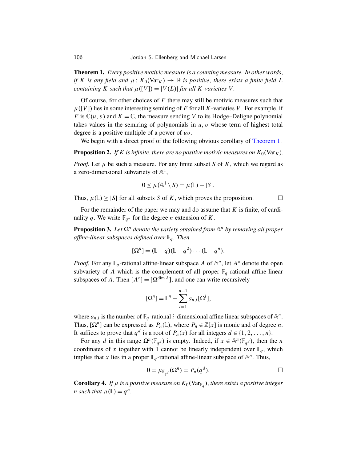Theorem 1. *Every positive motivic measure is a counting measure. In other words*, *if* K is any field and  $\mu$ :  $K_0(\text{Var}_K) \to \mathbb{R}$  is positive, there exists a finite field L *containing K such that*  $\mu([V]) = |V(L)|$  *for all K-varieties V.* 

Of course, for other choices of *F* there may [still be motiv](#page-1-0)ic measures such that  $\mu([V])$  lies in some interesting semiring of F for all K-varieties V. For example, if *F* is  $\mathbb{C}(u, v)$  and  $K = \mathbb{C}$ , the measure sending *V* to its Hodge–Deligne polynomial takes values in the semiring of polynomials in  $u, v$  whose term of highest total degree is a positive multiple of a power of *u*v.

We begin with a direct proof of the following obvious corollary of Theorem 1.

**Proposition 2.** If K is infinite, there are no positive motivic measures on  $K_0(\text{Var}_K)$ .

*Proof.* Let  $\mu$  be such a measure. For any finite subset *S* of *K*, which we regard as a zero-dimensional subvariety of  $\mathbb{A}^1$ ,

$$
0 \leq \mu(\mathbb{A}^1 \setminus S) = \mu(\mathbb{L}) - |S|.
$$

Thus,  $\mu(\mathbb{L}) \ge |S|$  for all subsets *S* of *K*, which proves the proposition.

For the remainder of the paper we may and do assume that *K* is finite, of cardinality q. We write  $\mathbb{F}_{q^n}$  for the degree *n* extension of *K*.

**Proposition 3.** Let  $\Omega^n$  denote the variety obtained from  $\mathbb{A}^n$  by removing all proper *affine-linear subspaces defined over* F*<sup>q</sup> . Then*

$$
[\Omega^n] = (\mathbb{L} - q)(\mathbb{L} - q^2) \cdots (\mathbb{L} - q^n).
$$

*Proof.* For any  $\mathbb{F}_q$ -rational affine-linear subspace *A* of  $\mathbb{A}^n$ , let  $A^\circ$  denote the open subvariety of *A* which is the complement of all proper  $\mathbb{F}_q$ -rational affine-linear subspaces of *A*. Then  $[A^{\circ}] = [\Omega^{\dim A}]$ , and one can write recursively

$$
[\Omega^n] = \mathbb{L}^n - \sum_{i=1}^{n-1} a_{n,i} [\Omega^i],
$$

where  $a_{n,i}$  is the number of  $\mathbb{F}_q$ -rational *i*-dimensional affine linear subspaces of  $\mathbb{A}^n$ . Thus,  $[\Omega^n]$  can be expressed as  $P_n(\mathbb{L})$ , where  $P_n \in \mathbb{Z}[x]$  is monic and of degree *n*. It suffices to prove that  $q^d$  is a root of  $P_n(x)$  for all integers  $d \in \{1, 2, ..., n\}$ .

For any *d* in this range  $\Omega^n(\mathbb{F}_{q^d})$  is empty. Indeed, if  $x \in \mathbb{A}^n(\mathbb{F}_{q^d})$ , then the *n* coordinates of *x* together with 1 cannot be linearly independent over  $\mathbb{F}_q$ , which implies that *x* lies in a proper  $\mathbb{F}_q$ -rational affine-linear subspace of  $\mathbb{A}^n$ . Thus,

$$
0 = \mu_{\mathbb{F}_{q^d}}(\Omega^n) = P_n(q^d).
$$

**Corollary 4.** If  $\mu$  is a positive measure on  $K_0(\text{Var}_{\mathbb{F}_q})$ , there exists a positive integer *n* such that  $\mu(\mathbb{L}) = q^n$ .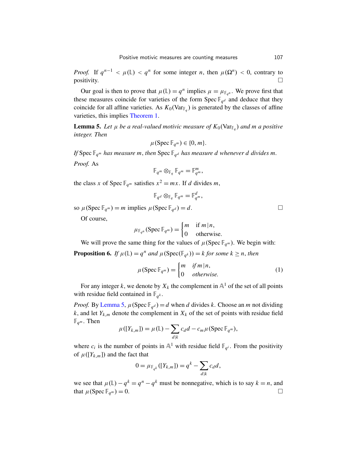*[Proof.](#page-1-0)* If  $q^{n-1} < \mu(\mathbb{L}) < q^n$  for some integer *n*, then  $\mu(\Omega^n) < 0$ , contrary to  $\Box$ 

Our goal is then to prove that  $\mu(\mathbb{L}) = q^n$  implies  $\mu = \mu_{\mathbb{F}_{q^n}}$ . We prove first that these measures coincide for varieties of the form Spec  $\mathbb{F}_{q^d}$  and deduce that they coincide for all affine varieties. As  $K_0(\text{Var}_{\mathbb{F}_q})$  is generated by the classes of affine varieties, this implies Theorem 1.

**Lemma 5.** Let  $\mu$  be a real-valued motivic measure of  $K_0(\text{Var}_{\mathbb{F}_q})$  and m a positive *integer. Then*

$$
\mu(\operatorname{Spec} \mathbb{F}_{q^m}) \in \{0, m\}.
$$

If Spec  $\mathbb{F}_{q^m}$  *has measure m, then* Spec  $\mathbb{F}_{q^d}$  *has measure d whenever d divides m.* 

*Proof.* As

$$
\mathbb{F}_{q^m}\otimes_{\mathbb{F}_q}\mathbb{F}_{q^m}=\mathbb{F}_{q^m}^m,
$$

the class *x* of Spec  $\mathbb{F}_{q^m}$  satisfies  $x^2 = mx$ . If *d* divides *m*,

<span id="page-3-0"></span>
$$
\mathbb{F}_{q^d} \otimes_{\mathbb{F}_q} \mathbb{F}_{q^m} = \mathbb{F}_{q^m}^d,
$$

so  $\mu$ (Spec  $\mathbb{F}_{q^m}$ ) = *m* implies  $\mu$ (Spec  $\mathbb{F}_{q^d}$ ) = *d*.

Of course,

$$
\mu_{\mathbb{F}_{q^n}}(\operatorname{Spec} \mathbb{F}_{q^m}) = \begin{cases} m & \text{if } m \mid n, \\ 0 & \text{otherwise.} \end{cases}
$$

We will prove the same thing for the values of  $\mu$  (Spec  $\mathbb{F}_{q^m}$ ). We begin with:

**Proposition 6.** If  $\mu(\mathbb{L}) = q^n$  and  $\mu(\text{Spec}(\mathbb{F}_{q^k})) = k$  for some  $k \geq n$ , then

$$
\mu(\text{Spec } \mathbb{F}_{q^m}) = \begin{cases} m & \text{if } m \mid n, \\ 0 & \text{otherwise.} \end{cases}
$$
 (1)

For any integer *k*, we denote by  $X_k$  the complement in  $\mathbb{A}^1$  of the set of all points with residue field contained in  $\mathbb{F}_{q^k}$ .

*Proof.* By Lemma 5,  $\mu$ (Spec  $\mathbb{F}_{q^d}$ ) = *d* when *d* divides *k*. Choose an *m* not dividing *k*, and let  $Y_{k,m}$  denote the complement in  $X_k$  of the set of points with residue field  $\mathbb{F}_{q^m}$ . Then

$$
\mu([Y_{k,m}]) = \mu(\mathbb{L}) - \sum_{d|k} c_d d - c_m \mu(\text{Spec } \mathbb{F}_{q^m}),
$$

where  $c_i$  is the number of points in  $A^1$  with residue field  $\mathbb{F}_{q^i}$ . From the positivity of  $\mu([Y_{k,m}])$  and the fact that

$$
0 = \mu_{\mathbb{F}_{q^k}}([Y_{k,m}]) = q^k - \sum_{d|k} c_d d,
$$

we see that  $\mu(\mathbb{L}) - q^k = q^n - q^k$  must be nonnegative, which is to say  $k = n$ , and that  $\mu$ (Spec  $\mathbb{F}_{q^m}$ ) = 0.  $(m) = 0.$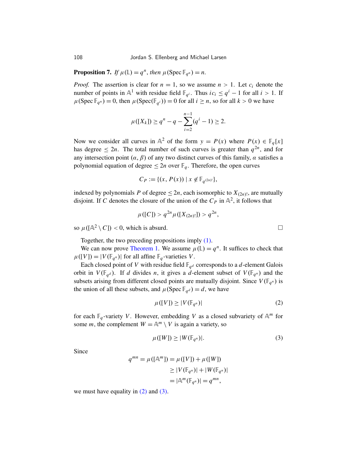**Proposition 7.** *If*  $\mu(\mathbb{L}) = q^n$ , *then*  $\mu(\text{Spec } \mathbb{F}_{q^n}) = n$ .

*Proof.* The assertion is clear for  $n = 1$ , so we assume  $n > 1$ . Let  $c_i$  denote the number of points in  $\mathbb{A}^1$  with residue field  $\mathbb{F}_{q^i}$ . Thus  $ic_i \leq q^i - 1$  for all  $i > 1$ . If  $\mu$ (Spec  $\mathbb{F}_{q^n}$ ) = 0, then  $\mu$ (Spec( $\mathbb{F}_{q^i}$ )) = 0 for all *i*  $\geq n$ , so for all *k* > 0 we have

$$
\mu([X_k]) \ge q^n - q - \sum_{i=2}^{n-1} (q^i - 1) \ge 2.
$$

Now we consider all curves in  $\mathbb{A}^2$  of the form  $y = P(x)$  where  $P(x) \in \mathbb{F}_q[x]$ has degree  $\leq 2n$ . The total number of such curves is greater than  $q^{2n}$ , and for any intersection point  $(\alpha, \beta)$  of any two distinct curves of this family,  $\alpha$  satisfies a polynomial equation of degree  $\leq 2n$  over  $\mathbb{F}_q$ . Therefore, the open curves

$$
C_P := \{ (x, P(x)) \mid x \notin \mathbb{F}_{q^{(2n)!}} \},
$$

indexed by polynomials *P* of degree  $\leq 2n$ , each isomorphic to  $X_{(2n)!}$ , are mutually [disjoint. If](#page-1-0) *C* denotes the cl[osure](#page-3-0) of the union of the  $C_P$  in  $\mathbb{A}^2$ , it follows that

<span id="page-4-0"></span>
$$
\mu([C]) > q^{2n} \mu([X_{(2n)!}]) > q^{2n},
$$

so  $\mu([\mathbb{A}^2 \setminus C]) < 0$ , which is absurd.

Together, the two preceding propositions imply (1).

We can now prove Theorem 1. We assume  $\mu(\mathbb{L}) = q^n$ . It suffices to check that  $\mu([V]) = |V(\mathbb{F}_{q^n})|$  for all affine  $\mathbb{F}_q$ -varieties *V*.

Each closed point of *V* with residue field  $\mathbb{F}_{q^d}$  corresponds to a *d*-element Galois orbit in  $V(\mathbb{F}_{q^d})$ . If *d* divides *n*, it gives a *d*-element subset of  $V(\mathbb{F}_{q^n})$  and the subsets arising from different closed points are mutually disjoint. Since  $V(\mathbb{F}_{q^n})$  is the union of all these subsets, and  $\mu$ (Spec  $\mathbb{F}_{q^d}$ ) = *d*, we have

$$
\mu([V]) \ge |V(\mathbb{F}_{q^n})| \tag{2}
$$

for each  $\mathbb{F}_q$ -variety *V*. However, embedding *V* as a closed subvariety of  $\mathbb{A}^m$  for some *m*, the complement  $W = \mathbb{A}^m \setminus V$  is again a variety, so

$$
\mu([W]) \ge |W(\mathbb{F}_{q^n})|.\tag{3}
$$

Sin[ce](#page-4-0)

$$
q^{mn} = \mu([\mathbb{A}^m]) = \mu([V]) + \mu([W])
$$
  
\n
$$
\geq |V(\mathbb{F}_{q^n})| + |W(\mathbb{F}_{q^n})|
$$
  
\n
$$
= |\mathbb{A}^m(\mathbb{F}_{q^n})| = q^{mn},
$$

we must have equality in  $(2)$  and  $(3)$ .